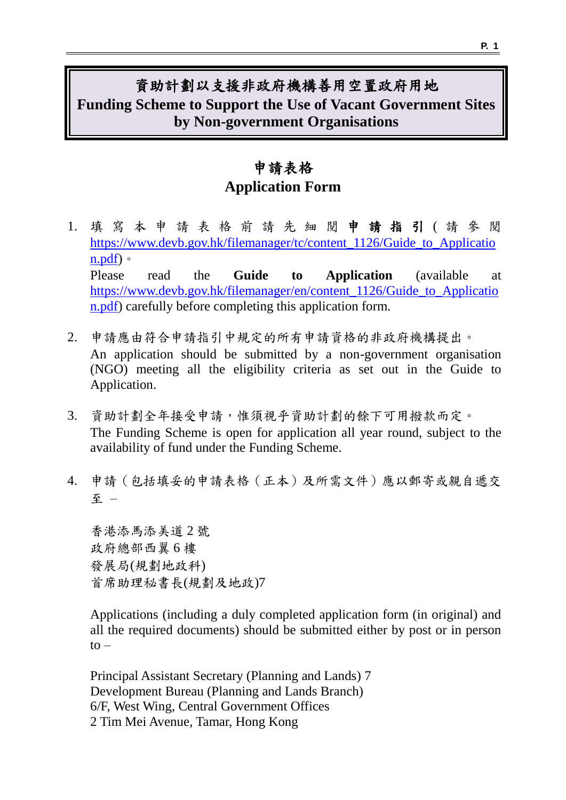## 資助計劃以支援非政府機構善用空置政府用地 **Funding Scheme to Support the Use of Vacant Government Sites by Non-government Organisations**

## 申請表格 **Application Form**

- 1. 填 寫 本 申 請 表 格 前 請 先 細 閱 申請指引 ( 請參閱 [https://www.devb.gov.hk/filemanager/tc/content\\_1126/Guide\\_to\\_Applicatio](https://www.devb.gov.hk/filemanager/tc/content_1126/Guide_to_Application.pdf) [n.pdf\)](https://www.devb.gov.hk/filemanager/tc/content_1126/Guide_to_Application.pdf)。 Please read the **Guide to Application** (available at [https://www.devb.gov.hk/filemanager/en/content\\_1126/Guide\\_to\\_Applicatio](https://www.devb.gov.hk/filemanager/en/content_1126/Guide_to_Application.pdf) [n.pdf\)](https://www.devb.gov.hk/filemanager/en/content_1126/Guide_to_Application.pdf) carefully before completing this application form.
- 2. 申請應由符合申請指引中規定的所有申請資格的非政府機構提出。 An application should be submitted by a non-government organisation (NGO) meeting all the eligibility criteria as set out in the Guide to Application.
- 3. 資助計劃全年接受申請,惟須視乎資助計劃的餘下可用撥款而定。 The Funding Scheme is open for application all year round, subject to the availability of fund under the Funding Scheme.
- 4. 申請(包括填妥的申請表格(正本)及所需文件)應以郵寄或親自遞交 至 –

香港添馬添美道 2 號 政府總部西翼 6 樓 發展局(規劃地政科) 首席助理秘書長(規劃及地政)7

Applications (including a duly completed application form (in original) and all the required documents) should be submitted either by post or in person  $to -$ 

Principal Assistant Secretary (Planning and Lands) 7 Development Bureau (Planning and Lands Branch) 6/F, West Wing, Central Government Offices 2 Tim Mei Avenue, Tamar, Hong Kong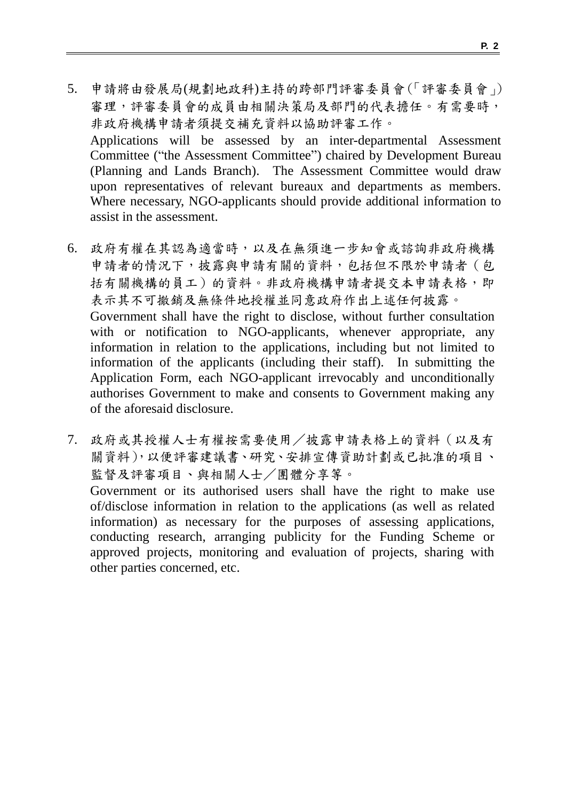- 5. 申請將由發展局(規劃地政科)主持的跨部門評審委員會(「評審委員會」) 審理,評審委員會的成員由相關決策局及部門的代表擔任。有需要時, 非政府機構申請者須提交補充資料以協助評審工作。 Applications will be assessed by an inter-departmental Assessment Committee ("the Assessment Committee") chaired by Development Bureau (Planning and Lands Branch). The Assessment Committee would draw upon representatives of relevant bureaux and departments as members. Where necessary, NGO-applicants should provide additional information to assist in the assessment.
- 6. 政府有權在其認為適當時,以及在無須進一步知會或諮詢非政府機構 申請者的情況下,披露與申請有關的資料,包括但不限於申請者(包 括有關機構的員工)的資料。非政府機構申請者提交本申請表格,即 表示其不可撤銷及無條件地授權並同意政府作出上述任何披露。 Government shall have the right to disclose, without further consultation with or notification to NGO-applicants, whenever appropriate, any information in relation to the applications, including but not limited to information of the applicants (including their staff). In submitting the Application Form, each NGO-applicant irrevocably and unconditionally authorises Government to make and consents to Government making any of the aforesaid disclosure.
- 7. 政府或其授權人士有權按需要使用/披露申請表格上的資料(以及有 關資料),以便評審建議書、研究、安排宣傳資助計劃或已批准的項目、 監督及評審項目、與相關人士/團體分享等。

Government or its authorised users shall have the right to make use of/disclose information in relation to the applications (as well as related information) as necessary for the purposes of assessing applications, conducting research, arranging publicity for the Funding Scheme or approved projects, monitoring and evaluation of projects, sharing with other parties concerned, etc.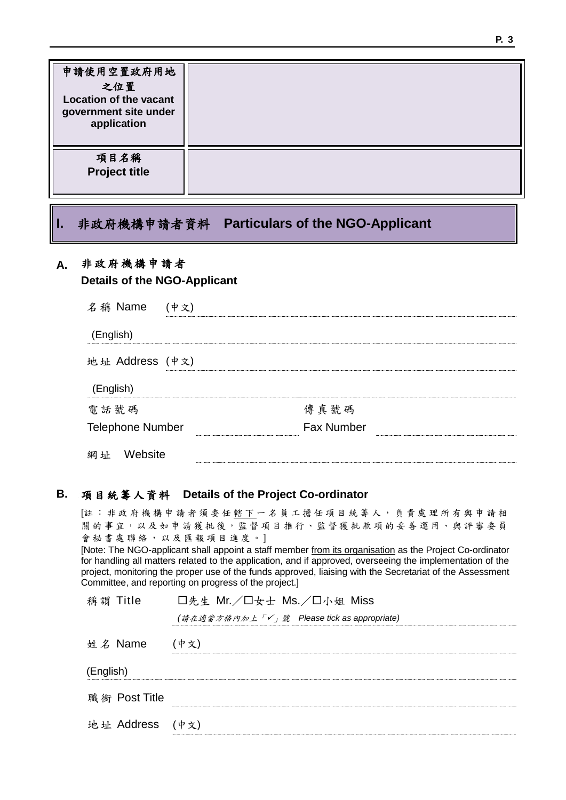| 申請使用空置政府用地<br>之位置<br><b>Location of the vacant</b><br>government site under<br>application |  |
|--------------------------------------------------------------------------------------------|--|
| 項目名稱<br><b>Project title</b>                                                               |  |

### **I.** 非政府機構申請者資料 **Particulars of the NGO-Applicant**

### **A.** 非政府機構 申請 者

#### **Details of the NGO-Applicant**

| 名稱 Name                 | (中文) |                   |  |
|-------------------------|------|-------------------|--|
| (English)               |      |                   |  |
| 地址 Address (中文)         |      |                   |  |
| (English)               |      |                   |  |
| 電話號碼                    |      | 傳真號碼              |  |
| <b>Telephone Number</b> |      | <b>Fax Number</b> |  |
| Website<br>網址           |      |                   |  |

#### **B.** 項目統籌人資料 **Details of the Project Co-ordinator**

[註:非政府機構申請者須委任轄下一名員工擔任項目統籌人,負責處理所有與申請相 關的事宜,以及如申請獲批後,監督項目推行、監督獲批款項的妥善運用、與評審委員 會秘書處聯絡,以及匯報項目進度。] [Note: The NGO-applicant shall appoint a staff member from its organisation as the Project Co-ordinator for handling all matters related to the application, and if approved, overseeing the implementation of the project, monitoring the proper use of the funds approved, liaising with the Secretariat of the Assessment Committee, and reporting on progress of the project.] 稱 謂 Title D先生 Mr./ロ女士 Ms./ロ小姐 Miss *(*請在適當方格內加上「」號 *Please tick as appropriate)*

| 姓名 Name   |                 | (中文) |
|-----------|-----------------|------|
| (English) |                 |      |
|           | 職銜 Post Title   |      |
|           | 地址 Address (中文) |      |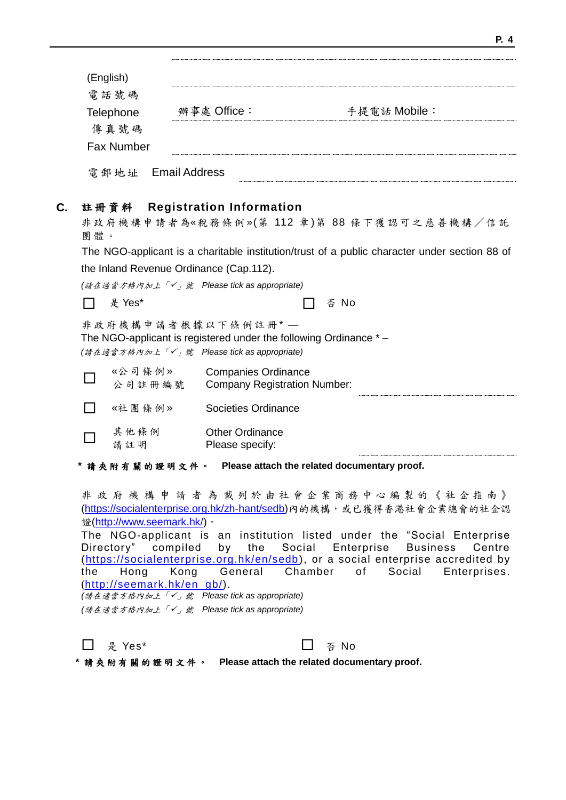| (English)          |             |              |  |
|--------------------|-------------|--------------|--|
| 電話號碼               |             |              |  |
| Telephone          | 辦事處 Office: | 手提電話 Mobile: |  |
| 傳真號碼               |             |              |  |
| <b>Fax Number</b>  |             |              |  |
| 電郵地址 Email Address |             |              |  |

#### **C.** 註冊資料 **Registration Information**

非政府機構申請者為《稅務條例》(第112章)第88條下獲認可之慈善機構/信託 團體。

The NGO-applicant is a charitable institution/trust of a public character under section 88 of the Inland Revenue Ordinance (Cap.112).

| (請在適當方格內加上「✔」號 Please tick as appropriate) |        |
|--------------------------------------------|--------|
| □ 是 Yes*                                   | □ 否 No |

非政府機構申請者根據以下條例註冊 \* --The NGO-applicant is registered under the following Ordinance \* – *(*請在適當方格內加上「」號 *Please tick as appropriate)*

 $\Box$ «公司條例 » 公 司 註 冊 編 號 Companies Ordinance Company Registration Number: □ 《社團條例》 Societies Ordinance П 其 他 條 例 請註明 Other Ordinance Please specify:

**\*** 請 夾 附 有 關 的 證 明 文 件 。 **Please attach the related documentary proof.**

非 政 府 機 構 申 請 者 為 載 列 於 由 社 會 企 業 商 務 中 心 編 製 的 《 社 企 指 南 》 [\(https://socialenterprise.org.hk/zh-hant/sedb\)](https://socialenterprise.org.hk/zh-hant/sedb)內的機構,或已獲得香港社會企業總會的社企認 證[\(http://www.seemark.hk/\)](http://www.seemark.hk/)。

The NGO-applicant is an institution listed under the "Social Enterprise Directory" compiled by the Social Enterprise Business Centre [\(https://socialenterprise.org.hk/en/sedb\)](https://socialenterprise.org.hk/en/sedb), or a social enterprise accredited by the Hong Kong General Chamber of Social Enterprises. ([http://seemark.hk/en\\_gb/\)](http://seemark.hk/en_gb/). *(*請在適當方格內加上「」號 *Please tick as appropriate)*

*(*請在適當方格內加上「」號 *Please tick as appropriate)*

| □ 是 Yes* | $\Box$ $\Phi$ No |
|----------|------------------|
|----------|------------------|

| * 請夾附有關的證明文件。 |  |  |  |  |  |  |  |  |  | Please attach the related documentary proof. |  |
|---------------|--|--|--|--|--|--|--|--|--|----------------------------------------------|--|
|---------------|--|--|--|--|--|--|--|--|--|----------------------------------------------|--|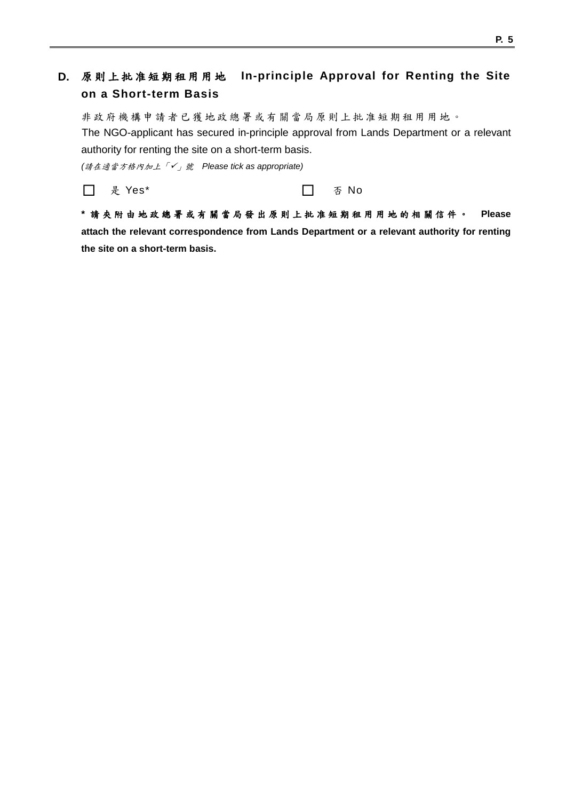### **D.** 原則上批准 短期 租用 用 地 **In-principle Approval for Renting the Site on a Short-term Basis**

非政府機構申請者已獲地政總署或有關當局原則上批准短期租用用地。 The NGO-applicant has secured in-principle approval from Lands Department or a relevant authority for renting the site on a short-term basis.

*(*請在適當方格內加上「」號 *Please tick as appropriate)*

□ 是 Yes\* 否 No

**\*** 請 夾 附 由 地 政 總 署 或 有 關 當 局 發 出 原 則 上 批 准 短 期 租 用 用 地 的 相 關 信 件 。 **Please attach the relevant correspondence from Lands Department or a relevant authority for renting the site on a short-term basis.**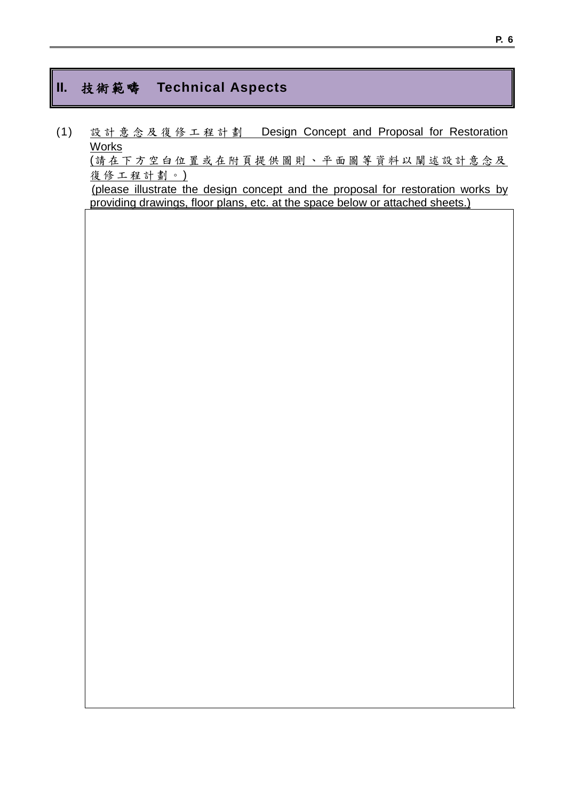### **II.** 技術範疇 **Technical Aspects**

(1) 設計意念 及復修工程計劃 Design Concept and Proposal for Restoration Works (請 在下 方 空 白 位 置 或在附頁提 供 圖 則 、 平 面 圖等 資 料 以 闡 述 設 計意 念 及 復修工程計劃。) (please illustrate the design concept and the proposal for restoration works by providing drawings, floor plans, etc. at the space below or attached sheets.)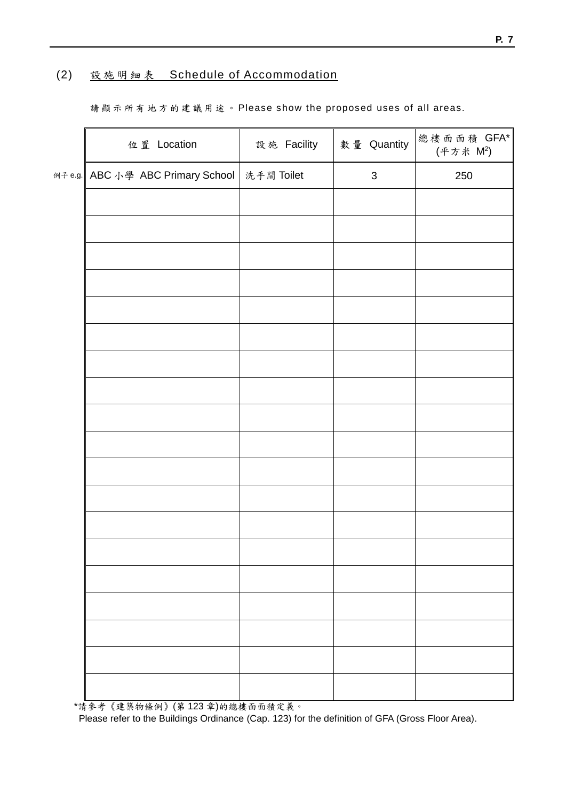### (2) 設施 明 細表 Schedule of Accommodation

請顯示所有地方的 建 議 用途。 Please show the proposed uses of all areas.

| 位 置 Location                                  | 設施 Facility | 數量 Quantity               | 總樓面面積 GFA*<br>(平方米 M2) |
|-----------------------------------------------|-------------|---------------------------|------------------------|
| 例子e.g. ABC 小學 ABC Primary School   洗手間 Toilet |             | $\ensuremath{\mathsf{3}}$ | 250                    |
|                                               |             |                           |                        |
|                                               |             |                           |                        |
|                                               |             |                           |                        |
|                                               |             |                           |                        |
|                                               |             |                           |                        |
|                                               |             |                           |                        |
|                                               |             |                           |                        |
|                                               |             |                           |                        |
|                                               |             |                           |                        |
|                                               |             |                           |                        |
|                                               |             |                           |                        |
|                                               |             |                           |                        |
|                                               |             |                           |                        |
|                                               |             |                           |                        |
|                                               |             |                           |                        |
|                                               |             |                           |                        |
|                                               |             |                           |                        |
|                                               |             |                           |                        |
|                                               |             |                           |                        |

\*請參考《建築物條例》(第 123 章)的總樓面面積定義。 Please refer to the Buildings Ordinance (Cap. 123) for the definition of GFA (Gross Floor Area).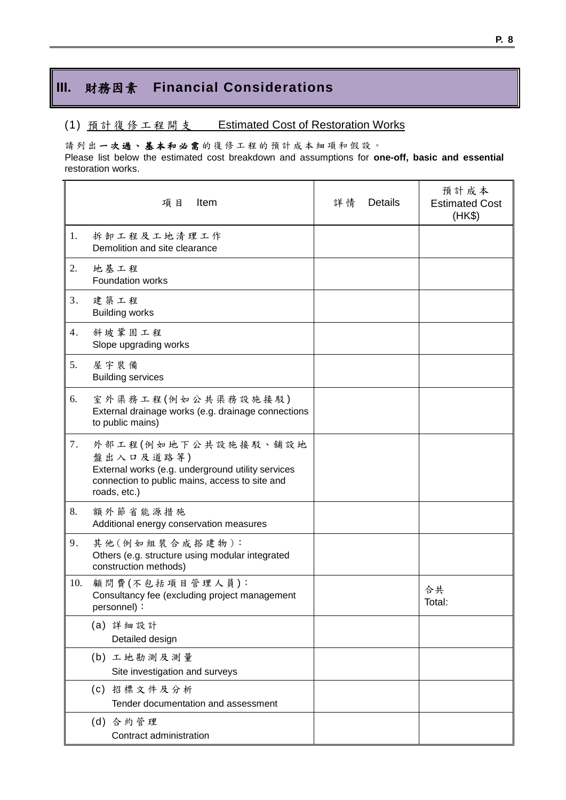## **III.** 財務因素 **Financial Considerations**

#### (1) 預計復修工程開支 Estimated Cost of Restoration Works

請列出一次過、基本和必需的復修工程的預計成本細項和假設。

Please list below the estimated cost breakdown and assumptions for **one-off, basic and essential**  restoration works.

|     | Item<br>項目                                                                                                                                              | 詳情 | <b>Details</b> | 預計成本<br><b>Estimated Cost</b><br>(HK\$) |
|-----|---------------------------------------------------------------------------------------------------------------------------------------------------------|----|----------------|-----------------------------------------|
| 1.  | 拆卸工程及工地清理工作<br>Demolition and site clearance                                                                                                            |    |                |                                         |
| 2.  | 地基工程<br>Foundation works                                                                                                                                |    |                |                                         |
| 3.  | 建築工程<br><b>Building works</b>                                                                                                                           |    |                |                                         |
| 4.  | 斜坡鞏固工程<br>Slope upgrading works                                                                                                                         |    |                |                                         |
| 5.  | 屋宇裝備<br><b>Building services</b>                                                                                                                        |    |                |                                         |
| 6.  | 室外渠務工程(例如公共渠務設施接駁)<br>External drainage works (e.g. drainage connections<br>to public mains)                                                            |    |                |                                         |
| 7.  | 外部工程(例如地下公共設施接駁、舖設地<br>盤出入口及道路等)<br>External works (e.g. underground utility services<br>connection to public mains, access to site and<br>roads, etc.) |    |                |                                         |
| 8.  | 額外節省能源措施<br>Additional energy conservation measures                                                                                                     |    |                |                                         |
| 9.  | 其他(例如組裝合成搭建物):<br>Others (e.g. structure using modular integrated<br>construction methods)                                                              |    |                |                                         |
| 10. | 顧問費(不包括項目管理人員):<br>Consultancy fee (excluding project management<br>personnel):                                                                         |    |                | 合共<br>Total:                            |
|     | (a) 詳細設計<br>Detailed design                                                                                                                             |    |                |                                         |
|     | (b) 工地勘測及測量<br>Site investigation and surveys                                                                                                           |    |                |                                         |
|     | (c) 招標文件及分析<br>Tender documentation and assessment                                                                                                      |    |                |                                         |
|     | (d) 合約管理<br>Contract administration                                                                                                                     |    |                |                                         |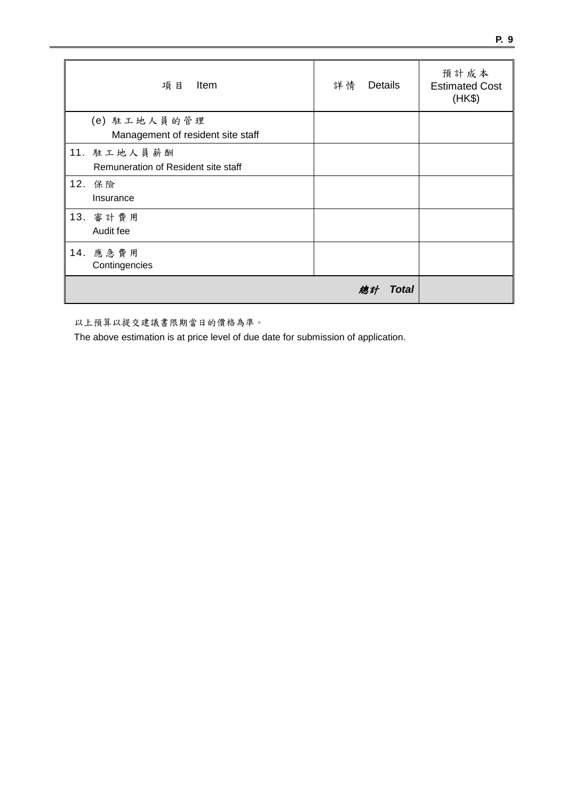| 項目<br>Item                                         | 詳情<br>Details      | 預計成本<br><b>Estimated Cost</b><br>(HK\$) |
|----------------------------------------------------|--------------------|-----------------------------------------|
| (e) 駐工地人員的管理<br>Management of resident site staff  |                    |                                         |
| 11. 駐工地人員薪酬<br>Remuneration of Resident site staff |                    |                                         |
| 12. 保險<br>Insurance                                |                    |                                         |
| 13. 審計費用<br>Audit fee                              |                    |                                         |
| 14. 應急費用<br>Contingencies                          |                    |                                         |
|                                                    | <b>Total</b><br>總計 |                                         |

以上預算以提交建議書限期當日的價格為準。

The above estimation is at price level of due date for submission of application.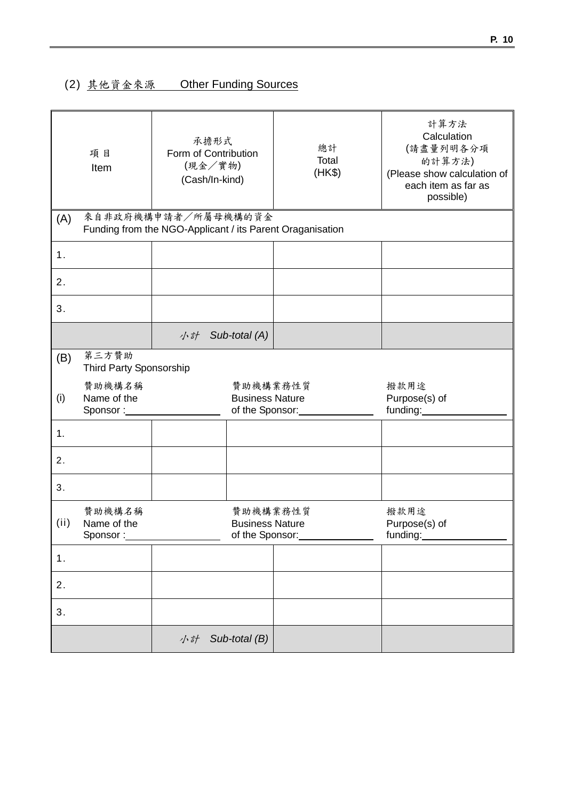## (2) 其他資金來源 Other Funding Sources

|      | 項目<br>Item                              | 承擔形式<br>Form of Contribution<br>(現金/實物)<br>(Cash/In-kind)                        |                                                       | 總計<br>Total<br>(HK\$)      | 計算方法<br>Calculation<br>(請盡量列明各分項<br>的計算方法)<br>(Please show calculation of<br>each item as far as<br>possible) |
|------|-----------------------------------------|----------------------------------------------------------------------------------|-------------------------------------------------------|----------------------------|---------------------------------------------------------------------------------------------------------------|
| (A)  |                                         | 來自非政府機構申請者/所屬母機構的資金<br>Funding from the NGO-Applicant / its Parent Oraganisation |                                                       |                            |                                                                                                               |
| 1.   |                                         |                                                                                  |                                                       |                            |                                                                                                               |
| 2.   |                                         |                                                                                  |                                                       |                            |                                                                                                               |
| 3.   |                                         |                                                                                  |                                                       |                            |                                                                                                               |
|      |                                         | 小計                                                                               | Sub-total (A)                                         |                            |                                                                                                               |
| (B)  | 第三方贊助<br><b>Third Party Sponsorship</b> |                                                                                  |                                                       |                            |                                                                                                               |
| (i)  | 贊助機構名稱<br>Name of the<br>Sponsor:       |                                                                                  | 贊助機構業務性質<br><b>Business Nature</b><br>of the Sponsor: |                            | 撥款用途<br>Purpose(s) of<br>funding:                                                                             |
| 1.   |                                         |                                                                                  |                                                       |                            |                                                                                                               |
| 2.   |                                         |                                                                                  |                                                       |                            |                                                                                                               |
| 3.   |                                         |                                                                                  |                                                       |                            |                                                                                                               |
| (ii) | 贊助機構名稱<br>Name of the<br>Sponsor:       |                                                                                  | 贊助機構業務性質<br><b>Business Nature</b>                    | of the Sponsor:___________ | 撥款用途<br>Purpose(s) of<br>funding:__________                                                                   |
| 1.   |                                         |                                                                                  |                                                       |                            |                                                                                                               |
| 2.   |                                         |                                                                                  |                                                       |                            |                                                                                                               |
| 3.   |                                         |                                                                                  |                                                       |                            |                                                                                                               |
|      |                                         | 小計                                                                               | Sub-total (B)                                         |                            |                                                                                                               |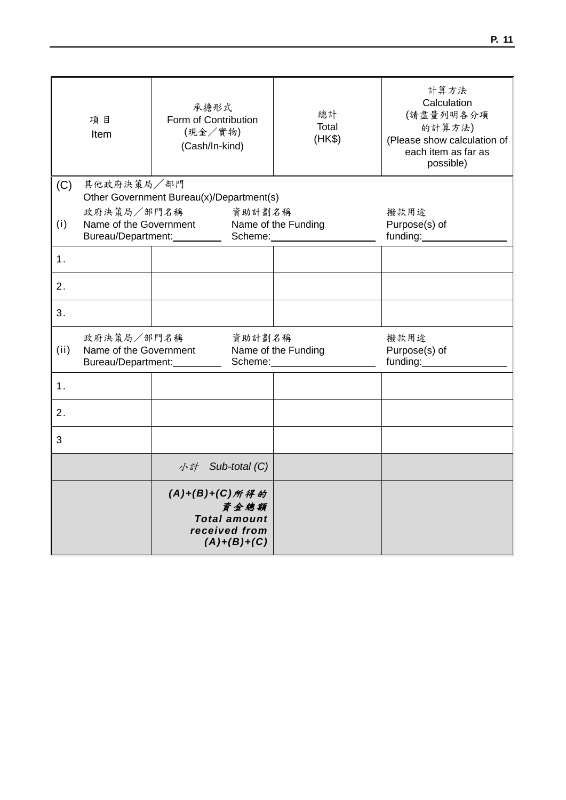|      | 項目<br>Item                                                 | 承擔形式<br>Form of Contribution<br>(現金/實物)<br>(Cash/In-kind) |                                                               | 總計<br>Total<br>(HK\$) | 計算方法<br>Calculation<br>(請盡量列明各分項<br>的計算方法)<br>(Please show calculation of<br>each item as far as<br>possible) |
|------|------------------------------------------------------------|-----------------------------------------------------------|---------------------------------------------------------------|-----------------------|---------------------------------------------------------------------------------------------------------------|
| (C)  | 其他政府決策局/部門                                                 | Other Government Bureau(x)/Department(s)                  |                                                               |                       |                                                                                                               |
| (i)  | 政府決策局/部門名稱<br>Name of the Government<br>Bureau/Department: |                                                           | 資助計劃名稱<br>Scheme:                                             | Name of the Funding   | 撥款用途<br>Purpose(s) of<br>funding:                                                                             |
| 1.   |                                                            |                                                           |                                                               |                       |                                                                                                               |
| 2.   |                                                            |                                                           |                                                               |                       |                                                                                                               |
| 3.   |                                                            |                                                           |                                                               |                       |                                                                                                               |
| (ii) | 政府決策局/部門名稱<br>Name of the Government<br>Bureau/Department: |                                                           | 資助計劃名稱<br>Scheme:                                             | Name of the Funding   | 撥款用途<br>Purpose(s) of<br>funding:                                                                             |
| 1.   |                                                            |                                                           |                                                               |                       |                                                                                                               |
| 2.   |                                                            |                                                           |                                                               |                       |                                                                                                               |
| 3    |                                                            |                                                           |                                                               |                       |                                                                                                               |
|      |                                                            | 小計                                                        | Sub-total (C)                                                 |                       |                                                                                                               |
|      |                                                            | (A)+(B)+(C)所得的                                            | 資金總額<br><b>Total amount</b><br>received from<br>$(A)+(B)+(C)$ |                       |                                                                                                               |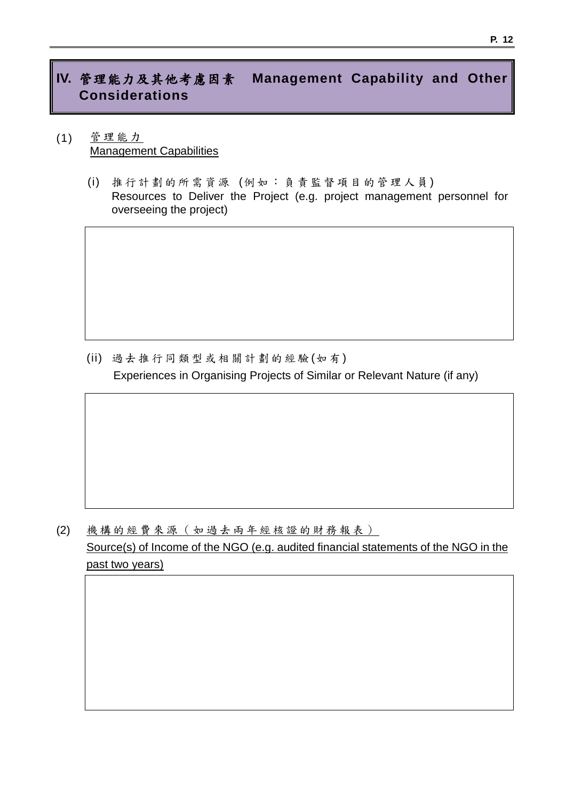## **IV.** 管理能力及其他考慮因素 **Management Capability and Other Considerations**

- (1) 管理能力 Management Capabilities
	- (i) 推行 計 劃的 所 需資 源 (例如 : 負責 監 督項 目 的管 理 人員 ) Resources to Deliver the Project (e.g. project management personnel for overseeing the project)

(ii) 過去 推 行同 類 型或 相關 計 劃的 經 驗 (如 有) Experiences in Organising Projects of Similar or Relevant Nature (if any)

(2) 機構的經費來源 (如過去兩年經核證的財務報表) Source(s) of Income of the NGO (e.g. audited financial statements of the NGO in the past two years)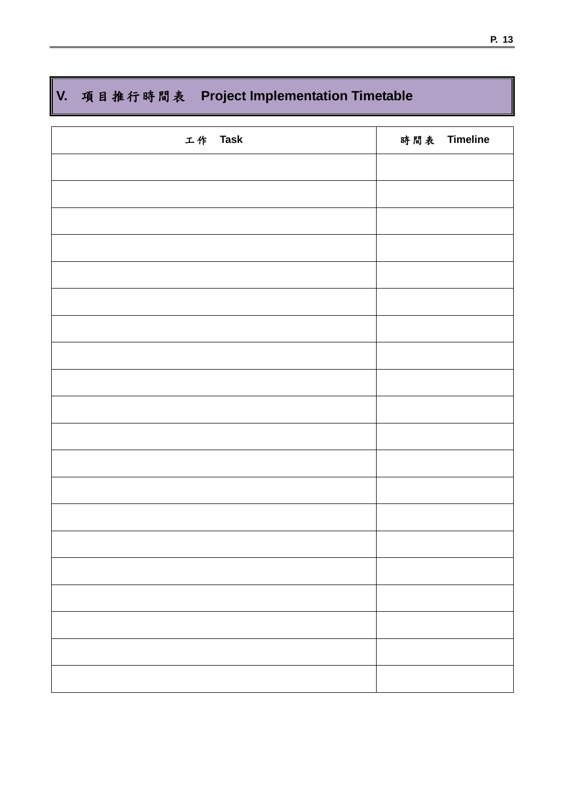# **V.** 項目推行時間表 **Project Implementation Timetable**

| 工作 Task | 時間表 Timeline |
|---------|--------------|
|         |              |
|         |              |
|         |              |
|         |              |
|         |              |
|         |              |
|         |              |
|         |              |
|         |              |
|         |              |
|         |              |
|         |              |
|         |              |
|         |              |
|         |              |
|         |              |
|         |              |
|         |              |
|         |              |
|         |              |